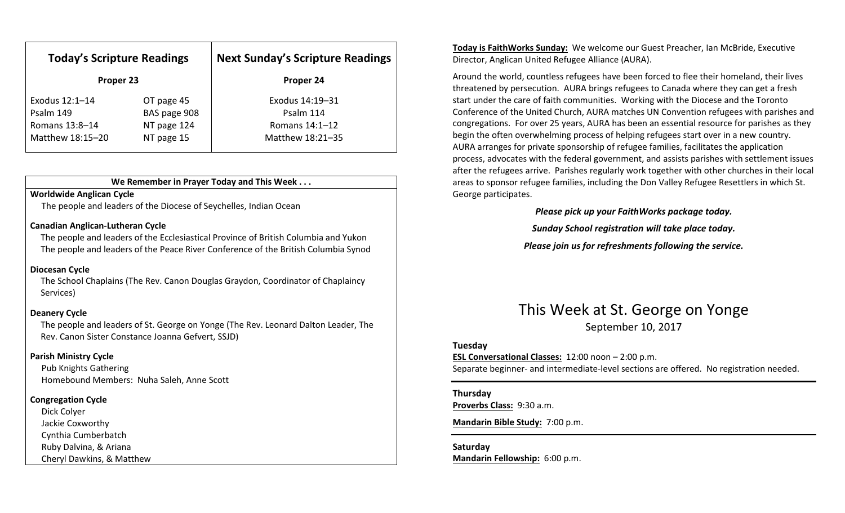| <b>Today's Scripture Readings</b><br>Proper 23 |              | <b>Next Sunday's Scripture Readings</b><br>Proper 24 |
|------------------------------------------------|--------------|------------------------------------------------------|
|                                                |              |                                                      |
| Psalm 149                                      | BAS page 908 | Psalm 114                                            |
| Romans 13:8-14                                 | NT page 124  | Romans 14:1-12                                       |
| Matthew 18:15-20                               | NT page 15   | Matthew 18:21-35                                     |

### We Remember in Prayer Today and This Week . . .

### Worldwide Anglican Cycle

The people and leaders of the Diocese of Seychelles, Indian Ocean

#### Canadian Anglican-Lutheran Cycle

The people and leaders of the Ecclesiastical Province of British Columbia and Yukon The people and leaders of the Peace River Conference of the British Columbia Synod

### Diocesan Cycle

The School Chaplains (The Rev. Canon Douglas Graydon, Coordinator of Chaplaincy Services)

### Deanery Cycle

The people and leaders of St. George on Yonge (The Rev. Leonard Dalton Leader, The Rev. Canon Sister Constance Joanna Gefvert, SSJD)

#### Parish Ministry Cycle

Pub Knights Gathering Homebound Members: Nuha Saleh, Anne Scott

### Congregation Cycle

Dick Colyer Jackie Coxworthy Cynthia Cumberbatch Ruby Dalvina, & Ariana Cheryl Dawkins, & Matthew Today is FaithWorks Sunday: We welcome our Guest Preacher, Ian McBride, Executive Director, Anglican United Refugee Alliance (AURA).

Around the world, countless refugees have been forced to flee their homeland, their lives threatened by persecution. AURA brings refugees to Canada where they can get a fresh start under the care of faith communities. Working with the Diocese and the Toronto Conference of the United Church, AURA matches UN Convention refugees with parishes and congregations. For over 25 years, AURA has been an essential resource for parishes as they begin the often overwhelming process of helping refugees start over in a new country. AURA arranges for private sponsorship of refugee families, facilitates the application process, advocates with the federal government, and assists parishes with settlement issues after the refugees arrive. Parishes regularly work together with other churches in their local areas to sponsor refugee families, including the Don Valley Refugee Resettlers in which St. George participates.

Please pick up your FaithWorks package today.

Sunday School registration will take place today.

Please join us for refreshments following the service.

### This Week at St. George on Yonge September 10, 2017

#### Tuesday

ESL Conversational Classes: 12:00 noon – 2:00 p.m. Separate beginner- and intermediate-level sections are offered. No registration needed.

### Thursday

Proverbs Class: 9:30 a.m.

Mandarin Bible Study: 7:00 p.m.

Saturday Mandarin Fellowship: 6:00 p.m.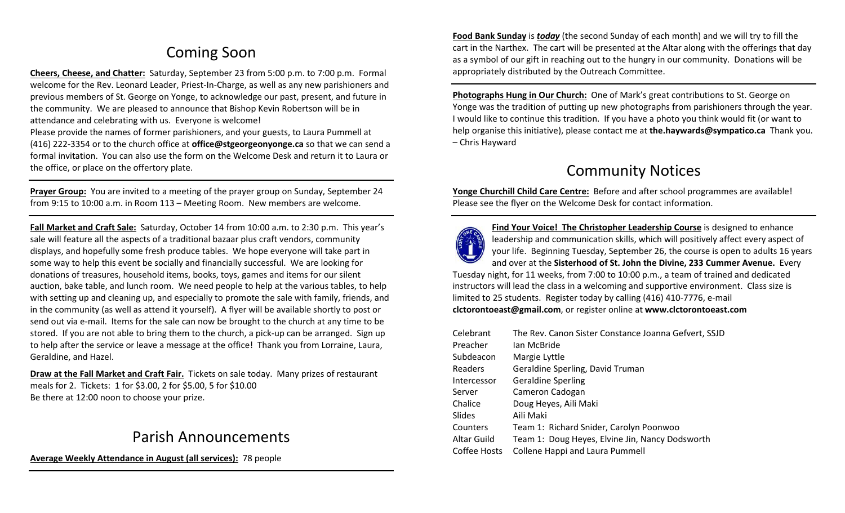# Coming Soon

Cheers, Cheese, and Chatter: Saturday, September 23 from 5:00 p.m. to 7:00 p.m. Formal welcome for the Rev. Leonard Leader, Priest-In-Charge, as well as any new parishioners and previous members of St. George on Yonge, to acknowledge our past, present, and future in the community. We are pleased to announce that Bishop Kevin Robertson will be in attendance and celebrating with us. Everyone is welcome! Please provide the names of former parishioners, and your guests, to Laura Pummell at

(416) 222-3354 or to the church office at **office@stgeorgeonyonge.ca** so that we can send a formal invitation. You can also use the form on the Welcome Desk and return it to Laura or the office, or place on the offertory plate.

Prayer Group: You are invited to a meeting of the prayer group on Sunday, September 24 from 9:15 to 10:00 a.m. in Room 113 – Meeting Room. New members are welcome.

Fall Market and Craft Sale: Saturday, October 14 from 10:00 a.m. to 2:30 p.m. This year's sale will feature all the aspects of a traditional bazaar plus craft vendors, community displays, and hopefully some fresh produce tables. We hope everyone will take part in some way to help this event be socially and financially successful. We are looking for donations of treasures, household items, books, toys, games and items for our silent auction, bake table, and lunch room. We need people to help at the various tables, to help with setting up and cleaning up, and especially to promote the sale with family, friends, and in the community (as well as attend it yourself). A flyer will be available shortly to post or send out via e-mail. Items for the sale can now be brought to the church at any time to be stored. If you are not able to bring them to the church, a pick-up can be arranged. Sign up to help after the service or leave a message at the office! Thank you from Lorraine, Laura, Geraldine, and Hazel.

Draw at the Fall Market and Craft Fair. Tickets on sale today. Many prizes of restaurantmeals for 2. Tickets: 1 for \$3.00, 2 for \$5.00, 5 for \$10.00 Be there at 12:00 noon to choose your prize.

## Parish Announcements

Average Weekly Attendance in August (all services): 78 people

Food Bank Sunday is *today* (the second Sunday of each month) and we will try to fill the cart in the Narthex. The cart will be presented at the Altar along with the offerings that day as a symbol of our gift in reaching out to the hungry in our community. Donations will be appropriately distributed by the Outreach Committee.

Photographs Hung in Our Church: One of Mark's great contributions to St. George on Yonge was the tradition of putting up new photographs from parishioners through the year. I would like to continue this tradition. If you have a photo you think would fit (or want to help organise this initiative), please contact me at the.haywards@sympatico.ca Thank you. – Chris Hayward

## Community Notices

Yonge Churchill Child Care Centre: Before and after school programmes are available! Please see the flyer on the Welcome Desk for contact information.



Find Your Voice! The Christopher Leadership Course is designed to enhance leadership and communication skills, which will positively affect every aspect of your life. Beginning Tuesday, September 26, the course is open to adults 16 years and over at the Sisterhood of St. John the Divine, 233 Cummer Avenue. Every

Tuesday night, for 11 weeks, from 7:00 to 10:00 p.m., a team of trained and dedicated instructors will lead the class in a welcoming and supportive environment. Class size is limited to 25 students. Register today by calling (416) 410-7776, e-mail clctorontoeast@gmail.com, or register online at www.clctorontoeast.com

| Celebrant    | The Rev. Canon Sister Constance Joanna Gefvert, SSJD |
|--------------|------------------------------------------------------|
| Preacher     | Ian McBride                                          |
| Subdeacon    | Margie Lyttle                                        |
| Readers      | Geraldine Sperling, David Truman                     |
| Intercessor  | <b>Geraldine Sperling</b>                            |
| Server       | Cameron Cadogan                                      |
| Chalice      | Doug Heyes, Aili Maki                                |
| Slides       | Aili Maki                                            |
| Counters     | Team 1: Richard Snider, Carolyn Poonwoo              |
| Altar Guild  | Team 1: Doug Heyes, Elvine Jin, Nancy Dodsworth      |
| Coffee Hosts | Collene Happi and Laura Pummell                      |